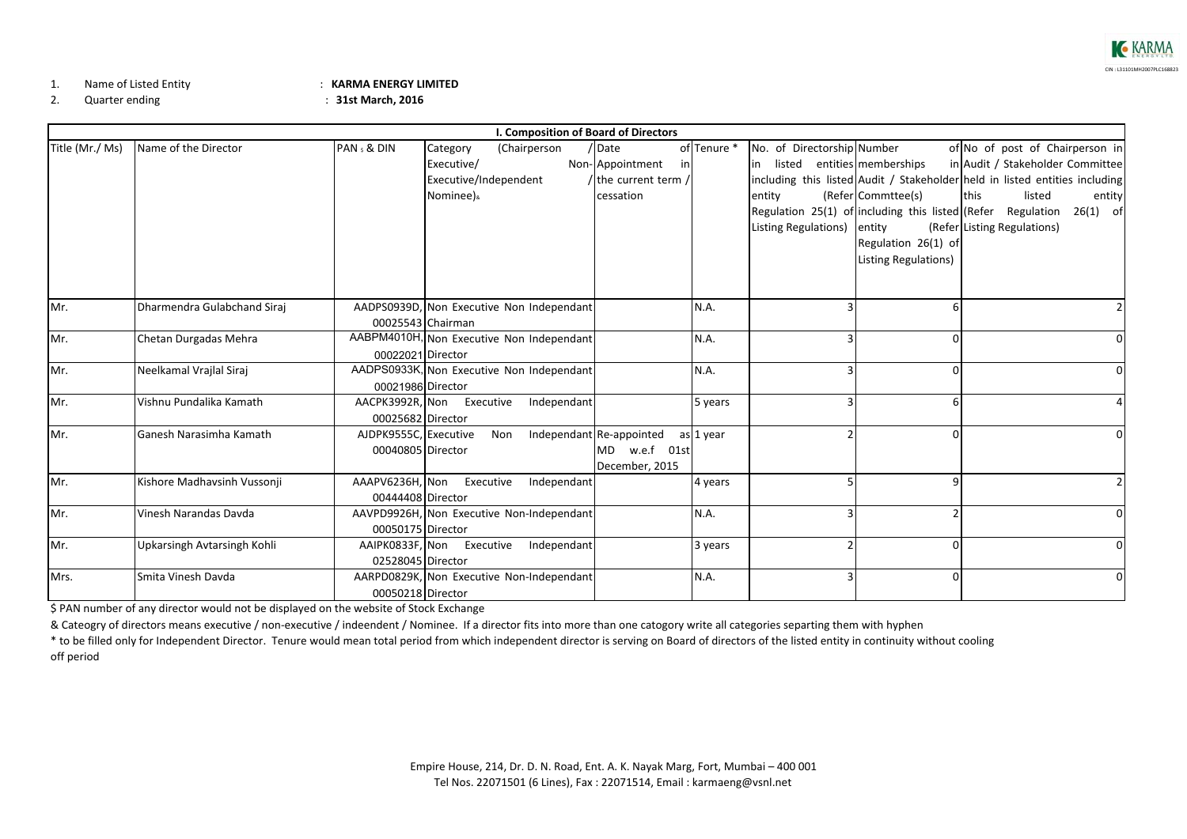

1.Name of Listed

## Entity : **KARMA ENERGY LIMITED**

2.

Quarter ending : **31st March, 2016**

| I. Composition of Board of Directors |                             |                       |                           |                                           |                          |             |                             |   |                                                                             |                                  |             |
|--------------------------------------|-----------------------------|-----------------------|---------------------------|-------------------------------------------|--------------------------|-------------|-----------------------------|---|-----------------------------------------------------------------------------|----------------------------------|-------------|
| Title (Mr./ Ms)                      | Name of the Director        | PAN & DIN             | Category                  | (Chairperson                              | / Date                   | of Tenure * | No. of Directorship Number  |   |                                                                             | of No of post of Chairperson in  |             |
|                                      |                             |                       | Executive/                |                                           | Non-Appointment<br>in    |             |                             |   | in listed entities memberships                                              | in Audit / Stakeholder Committee |             |
|                                      |                             |                       | Executive/Independent     |                                           | / the current term /     |             |                             |   | including this listed Audit / Stakeholder held in listed entities including |                                  |             |
|                                      |                             |                       | Nominee) <sub>&amp;</sub> |                                           | cessation                |             | entity                      |   | (Refer Commttee(s)                                                          | this<br>listed                   | entity      |
|                                      |                             |                       |                           |                                           |                          |             |                             |   | Regulation 25(1) of including this listed (Refer Regulation                 |                                  | 26(1) of    |
|                                      |                             |                       |                           |                                           |                          |             | Listing Regulations) entity |   |                                                                             | (Refer Listing Regulations)      |             |
|                                      |                             |                       |                           |                                           |                          |             |                             |   | Regulation 26(1) of                                                         |                                  |             |
|                                      |                             |                       |                           |                                           |                          |             |                             |   | Listing Regulations)                                                        |                                  |             |
|                                      |                             |                       |                           |                                           |                          |             |                             |   |                                                                             |                                  |             |
|                                      |                             |                       |                           |                                           |                          |             |                             |   |                                                                             |                                  |             |
| Mr.                                  | Dharmendra Gulabchand Siraj |                       |                           | AADPS0939D, Non Executive Non Independant |                          | N.A.        |                             |   |                                                                             |                                  |             |
|                                      |                             | 00025543 Chairman     |                           |                                           |                          |             |                             |   |                                                                             |                                  |             |
| Mr.                                  | Chetan Durgadas Mehra       |                       |                           | AABPM4010H, Non Executive Non Independant |                          | N.A.        |                             | 3 |                                                                             |                                  | O           |
|                                      |                             | 00022021 Director     |                           |                                           |                          |             |                             |   |                                                                             |                                  |             |
| Mr.                                  | Neelkamal Vrajlal Siraj     |                       |                           | AADPS0933K, Non Executive Non Independant |                          | N.A.        |                             |   |                                                                             |                                  |             |
|                                      |                             | 00021986 Director     |                           |                                           |                          |             |                             |   |                                                                             |                                  |             |
| Mr.                                  | Vishnu Pundalika Kamath     |                       | AACPK3992R, Non Executive | Independant                               |                          | 5 years     |                             | 3 |                                                                             |                                  |             |
|                                      |                             | 00025682 Director     |                           |                                           |                          |             |                             |   |                                                                             |                                  |             |
| Mr.                                  | Ganesh Narasimha Kamath     | AJDPK9555C, Executive |                           | Non                                       | Independant Re-appointed | as 1 year   |                             |   |                                                                             |                                  |             |
|                                      |                             | 00040805 Director     |                           |                                           | MD w.e.f 01st            |             |                             |   |                                                                             |                                  |             |
|                                      |                             |                       |                           |                                           | December, 2015           |             |                             |   |                                                                             |                                  |             |
| Mr.                                  | Kishore Madhavsinh Vussonji | AAAPV6236H, Non       | Executive                 | Independant                               |                          | 4 years     |                             |   |                                                                             |                                  |             |
|                                      |                             | 00444408 Director     |                           |                                           |                          |             |                             |   |                                                                             |                                  |             |
| Mr.                                  | Vinesh Narandas Davda       |                       |                           | AAVPD9926H, Non Executive Non-Independant |                          | N.A.        |                             | 3 |                                                                             |                                  | $\Omega$    |
|                                      |                             | 00050175 Director     |                           |                                           |                          |             |                             |   |                                                                             |                                  |             |
| Mr.                                  | Upkarsingh Avtarsingh Kohli |                       | AAIPK0833F, Non Executive | Independant                               |                          | 3 years     |                             |   |                                                                             |                                  | $\Omega$    |
|                                      |                             | 02528045 Director     |                           |                                           |                          |             |                             |   |                                                                             |                                  |             |
| Mrs.                                 | Smita Vinesh Davda          |                       |                           | AARPD0829K, Non Executive Non-Independant |                          | N.A.        |                             | 3 |                                                                             |                                  | $\mathbf 0$ |
|                                      |                             | 00050218 Director     |                           |                                           |                          |             |                             |   |                                                                             |                                  |             |

\$ PAN number of any director would not be displayed on the website of Stock Exchange

& Cateogry of directors means executive / non‐executive / indeendent / Nominee. If <sup>a</sup> director fits into more than one catogory write all categories separting them with hyphen

\* to be filled only for Independent Director. Tenure would mean total period from which independent director is serving on Board of directors of the listed entity in continuity without cooling off period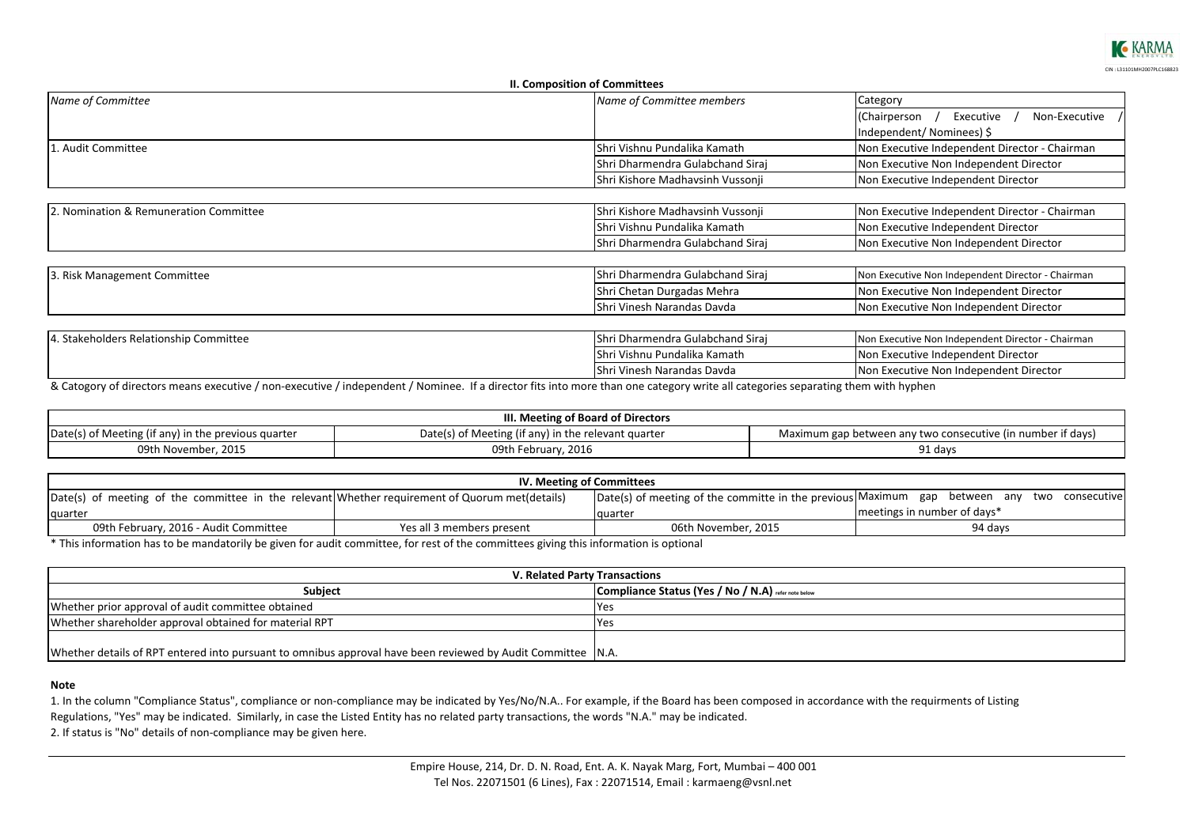

|                                        | <b>II. Composition of Committees</b> |                                                   |  |
|----------------------------------------|--------------------------------------|---------------------------------------------------|--|
| Name of Committee                      | Name of Committee members            | Category                                          |  |
|                                        |                                      | Non-Executive /<br>Executive<br>(Chairperson      |  |
|                                        |                                      | Independent/Nominees) \$                          |  |
| Audit Committee                        | Shri Vishnu Pundalika Kamath         | Non Executive Independent Director - Chairman     |  |
|                                        | Shri Dharmendra Gulabchand Siraj     | Non Executive Non Independent Director            |  |
|                                        | Shri Kishore Madhavsinh Vussonji     | Non Executive Independent Director                |  |
|                                        |                                      |                                                   |  |
| 2. Nomination & Remuneration Committee | Shri Kishore Madhavsinh Vussonji     | Non Executive Independent Director - Chairman     |  |
|                                        | Shri Vishnu Pundalika Kamath         | Non Executive Independent Director                |  |
|                                        | Shri Dharmendra Gulabchand Siraj     | Non Executive Non Independent Director            |  |
|                                        |                                      |                                                   |  |
| 3. Risk Management Committee           | Shri Dharmendra Gulabchand Siraj     | Non Executive Non Independent Director - Chairman |  |
|                                        | Shri Chetan Durgadas Mehra           | Non Executive Non Independent Director            |  |
|                                        | Shri Vinesh Narandas Davda           | Non Executive Non Independent Director            |  |
|                                        |                                      |                                                   |  |
| 4. Stakeholders Relationship Committee | Shri Dharmendra Gulabchand Siraj     | Non Executive Non Independent Director - Chairman |  |
|                                        | Shri Vishnu Pundalika Kamath         | Non Executive Independent Director                |  |
|                                        | Shri Vinesh Narandas Davda           | Non Executive Non Independent Director            |  |

& Catogory of directors means executive / non‐executive / independent / Nominee. If <sup>a</sup> director fits into more than one category write all categories separating them with hyphen

| III. Meeting of Board of Directors                  |                                                     |                                                             |  |  |  |  |
|-----------------------------------------------------|-----------------------------------------------------|-------------------------------------------------------------|--|--|--|--|
| Date(s) of Meeting (if any) in the previous quarter | Date(s) of Meeting (if any) in the relevant quarter | Maximum gap between any two consecutive (in number if days) |  |  |  |  |
| 09th November, 2015                                 | 09th February, 2016                                 | 91 days                                                     |  |  |  |  |

| IV. Meeting of Committees                                                                      |                           |                                                                                |                               |  |  |  |  |
|------------------------------------------------------------------------------------------------|---------------------------|--------------------------------------------------------------------------------|-------------------------------|--|--|--|--|
| Date(s) of meeting of the committee in the relevant Whether requirement of Quorum met(details) |                           | Date(s) of meeting of the committe in the previous Maximum gap between any two | consecutive                   |  |  |  |  |
| quarter                                                                                        |                           | Tauarter                                                                       | I meetings in number of days* |  |  |  |  |
| 09th February, 2016 - Audit Committee                                                          | Yes all 3 members present | 06th November, 2015                                                            | 94 days                       |  |  |  |  |

\* This information has to be mandatorily be given for audit committee, for rest of the committees giving this information is optional

| V. Related Party Transactions                                                                                 |                                                     |  |  |  |
|---------------------------------------------------------------------------------------------------------------|-----------------------------------------------------|--|--|--|
| <b>Subject</b>                                                                                                | Compliance Status (Yes / No / N.A) refer note below |  |  |  |
| Whether prior approval of audit committee obtained                                                            | <b>PYes</b>                                         |  |  |  |
| Whether shareholder approval obtained for material RPT                                                        | <b>PYes</b>                                         |  |  |  |
|                                                                                                               |                                                     |  |  |  |
| Whether details of RPT entered into pursuant to omnibus approval have been reviewed by Audit Committee   N.A. |                                                     |  |  |  |

#### **Note**

1. In the column "Compliance Status", compliance or non‐compliance may be indicated by Yes/No/N.A.. For example, if the Board has been composed in accordance with the requirments of Listing Regulations, "Yes" may be indicated. Similarly, in case the Listed Entity has no related party transactions, the words "N.A." may be indicated. 2. If status is "No" details of non‐compliance may be given here.

> Empire House, 214, Dr. D. N. Road, Ent. A. K. Nayak Marg, Fort, Mumbai – 400 001 Tel Nos. 22071501 (6 Lines), Fax : 22071514, Email : karmaeng@vsnl.net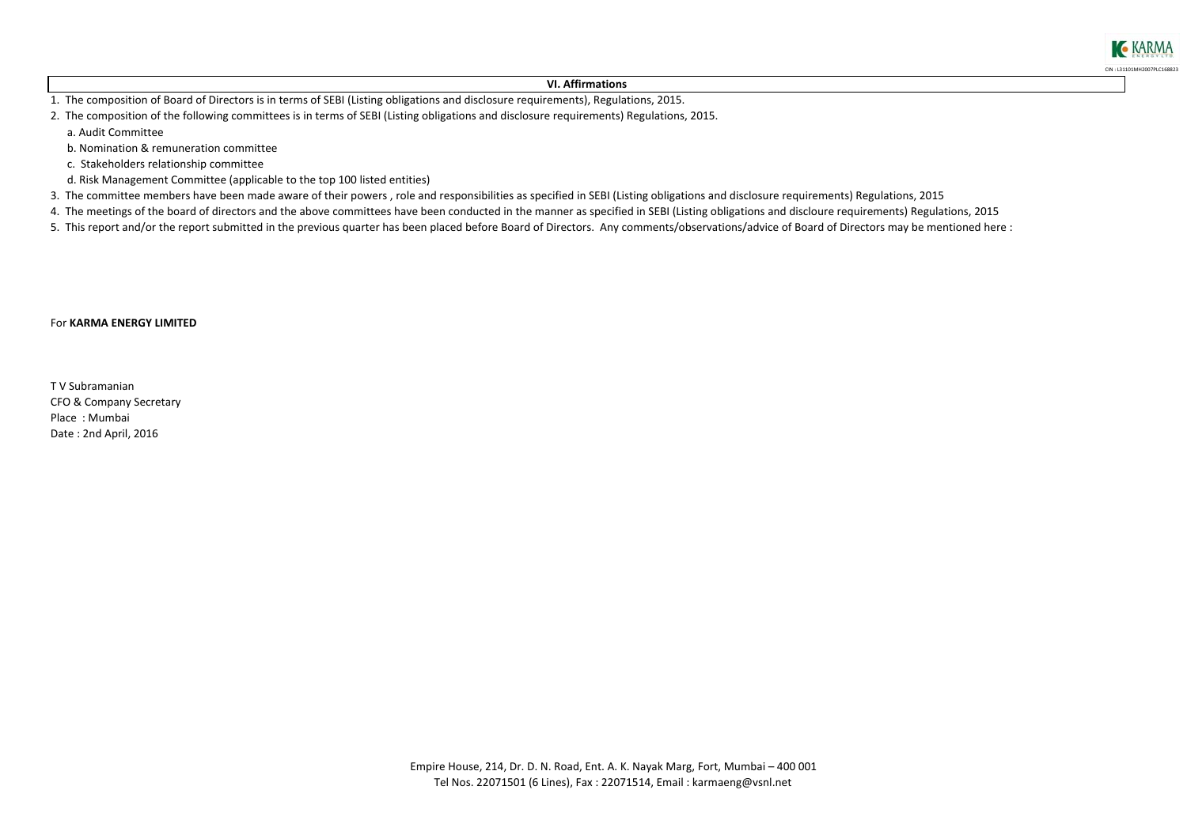#### **VI. Affirmations**

CIN : L31101MH2007PLC168823

**KARMA** 

1. The composition of Board of Directors is in terms of SEBI (Listing obligations and disclosure requirements), Regulations, 2015.

2. The composition of the following committees is in terms of SEBI (Listing obligations and disclosure requirements) Regulations, 2015. a. Audit Committee

b. Nomination & remuneration committee

c. Stakeholders relationship committee

- d. Risk Management Committee (applicable to the top 100 listed entities)
- 3. The committee members have been made aware of their powers , role and responsibilities as specified in SEBI (Listing obligations and disclosure requirements) Regulations, 2015
- 4. The meetings of the board of directors and the above committees have been conducted in the manner as specified in SEBI (Listing obligations and discloure requirements) Regulations, 2015

5. This report and/or the report submitted in the previous quarter has been placed before Board of Directors. Any comments/observations/advice of Board of Directors may be mentioned here :

#### For **KARMA ENERGY LIMITED**

CFO & Company Secretary Place : Mumbai Date : 2nd April, 2016 T V Subramanian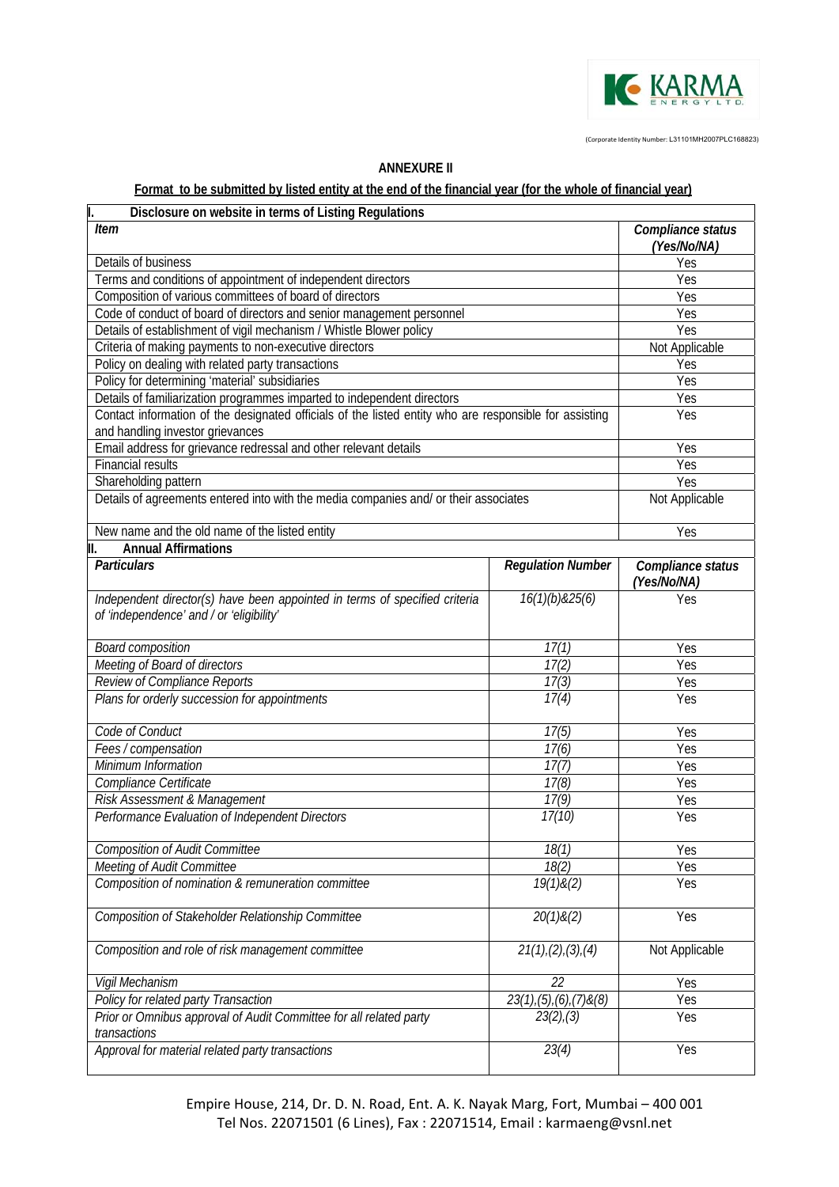

(Corporate Identity Number: L31101MH2007PLC168823)

| Disclosure on website in terms of Listing Regulations                                                                                      |                                |                                  |
|--------------------------------------------------------------------------------------------------------------------------------------------|--------------------------------|----------------------------------|
| <b>Item</b>                                                                                                                                |                                | Compliance status<br>(Yes/No/NA) |
| Details of business                                                                                                                        | Yes                            |                                  |
| Terms and conditions of appointment of independent directors                                                                               | Yes                            |                                  |
| Composition of various committees of board of directors                                                                                    |                                | Yes                              |
| Code of conduct of board of directors and senior management personnel                                                                      |                                | Yes                              |
| Details of establishment of vigil mechanism / Whistle Blower policy                                                                        |                                | Yes                              |
| Criteria of making payments to non-executive directors                                                                                     |                                | Not Applicable                   |
| Policy on dealing with related party transactions                                                                                          |                                | Yes                              |
| Policy for determining 'material' subsidiaries                                                                                             |                                | Yes                              |
| Details of familiarization programmes imparted to independent directors                                                                    |                                | Yes                              |
| Contact information of the designated officials of the listed entity who are responsible for assisting<br>and handling investor grievances |                                | Yes                              |
| Email address for grievance redressal and other relevant details                                                                           |                                | Yes                              |
| <b>Financial results</b>                                                                                                                   |                                | Yes                              |
| Shareholding pattern                                                                                                                       |                                | Yes                              |
| Details of agreements entered into with the media companies and/ or their associates                                                       |                                | Not Applicable                   |
|                                                                                                                                            |                                |                                  |
| New name and the old name of the listed entity                                                                                             |                                | Yes                              |
| <b>Annual Affirmations</b>                                                                                                                 |                                |                                  |
| <b>Particulars</b>                                                                                                                         | <b>Regulation Number</b>       | Compliance status<br>(Yes/No/NA) |
| Independent director(s) have been appointed in terms of specified criteria<br>of 'independence' and / or 'eligibility'                     | 16(1)(b)825(6)                 | Yes                              |
| <b>Board composition</b>                                                                                                                   | 17(1)                          | Yes                              |
| Meeting of Board of directors                                                                                                              | 17(2)                          | Yes                              |
| Review of Compliance Reports                                                                                                               | 17(3)                          | Yes                              |
| Plans for orderly succession for appointments                                                                                              | Yes                            |                                  |
| Code of Conduct                                                                                                                            | 17(5)                          | Yes                              |
| Fees / compensation                                                                                                                        | 17(6)                          | Yes                              |
| Minimum Information                                                                                                                        | 17(7)                          | Yes                              |
| Compliance Certificate                                                                                                                     | 17(8)                          | Yes                              |
| Risk Assessment & Management                                                                                                               | 17(9)                          | Yes                              |
| Performance Evaluation of Independent Directors                                                                                            | 17(10)                         | Yes                              |
| <b>Composition of Audit Committee</b>                                                                                                      | 18(1)                          | Yes                              |
| Meeting of Audit Committee                                                                                                                 | 18(2)                          | Yes                              |
| Composition of nomination & remuneration committee                                                                                         | 19(1)8(2)                      | Yes                              |
| Composition of Stakeholder Relationship Committee                                                                                          | 20(1)8(2)                      | Yes                              |
| Composition and role of risk management committee                                                                                          | Not Applicable                 |                                  |
| Vigil Mechanism                                                                                                                            | 22                             | Yes                              |
| Policy for related party Transaction                                                                                                       | $23(1), (5), (6), (7)$ & $(8)$ | Yes                              |
| Prior or Omnibus approval of Audit Committee for all related party<br>transactions                                                         | 23(2), (3)                     | Yes                              |
| Approval for material related party transactions                                                                                           | 23(4)                          | Yes                              |

## **ANNEXURE II**

## **Format to be submitted by listed entity at the end of the financial year (for the whole of financial year)**

Empire House, 214, Dr. D. N. Road, Ent. A. K. Nayak Marg, Fort, Mumbai – 400 001 Tel Nos. 22071501 (6 Lines), Fax : 22071514, Email : karmaeng@vsnl.net